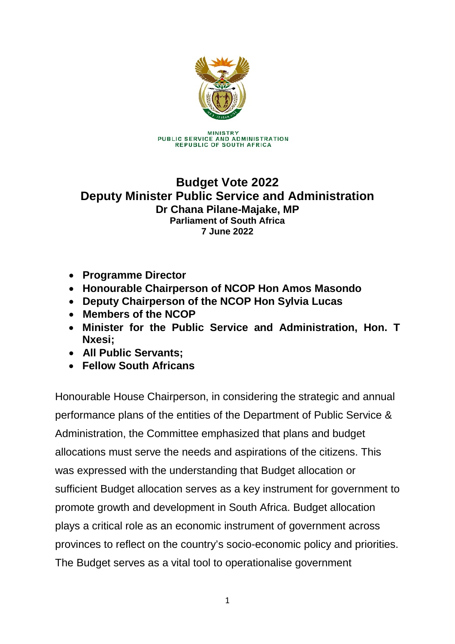

**MINISTRY** PUBLIC SERVICE AND ADMINISTRATION **REPUBLIC OF SOUTH AFRICA** 

### **Budget Vote 2022 Deputy Minister Public Service and Administration Dr Chana Pilane-Majake, MP Parliament of South Africa 7 June 2022**

- **Programme Director**
- **Honourable Chairperson of NCOP Hon Amos Masondo**
- **Deputy Chairperson of the NCOP Hon Sylvia Lucas**
- **Members of the NCOP**
- **Minister for the Public Service and Administration, Hon. T Nxesi;**
- **All Public Servants;**
- **Fellow South Africans**

Honourable House Chairperson, in considering the strategic and annual performance plans of the entities of the Department of Public Service & Administration, the Committee emphasized that plans and budget allocations must serve the needs and aspirations of the citizens. This was expressed with the understanding that Budget allocation or sufficient Budget allocation serves as a key instrument for government to promote growth and development in South Africa. Budget allocation plays a critical role as an economic instrument of government across provinces to reflect on the country's socio-economic policy and priorities. The Budget serves as a vital tool to operationalise government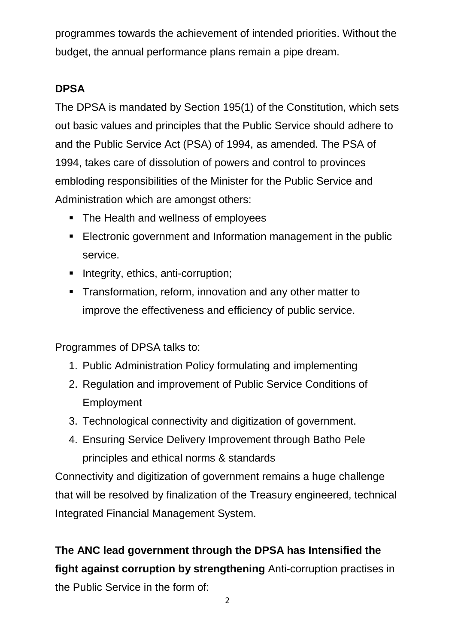programmes towards the achievement of intended priorities. Without the budget, the annual performance plans remain a pipe dream.

# **DPSA**

The DPSA is mandated by Section 195(1) of the Constitution, which sets out basic values and principles that the Public Service should adhere to and the Public Service Act (PSA) of 1994, as amended. The PSA of 1994, takes care of dissolution of powers and control to provinces embloding responsibilities of the Minister for the Public Service and Administration which are amongst others:

- The Health and wellness of employees
- **Electronic government and Information management in the public** service.
- Integrity, ethics, anti-corruption;
- **Transformation, reform, innovation and any other matter to** improve the effectiveness and efficiency of public service.

Programmes of DPSA talks to:

- 1. Public Administration Policy formulating and implementing
- 2. Regulation and improvement of Public Service Conditions of Employment
- 3. Technological connectivity and digitization of government.
- 4. Ensuring Service Delivery Improvement through Batho Pele principles and ethical norms & standards

Connectivity and digitization of government remains a huge challenge that will be resolved by finalization of the Treasury engineered, technical Integrated Financial Management System.

**The ANC lead government through the DPSA has Intensified the fight against corruption by strengthening** Anti-corruption practises in the Public Service in the form of: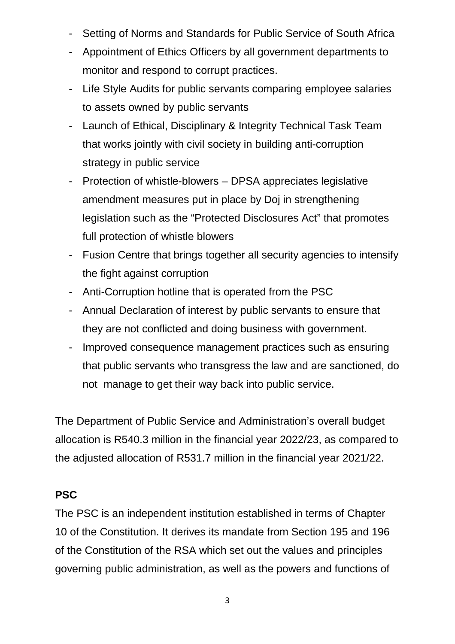- Setting of Norms and Standards for Public Service of South Africa
- Appointment of Ethics Officers by all government departments to monitor and respond to corrupt practices.
- Life Style Audits for public servants comparing employee salaries to assets owned by public servants
- Launch of Ethical, Disciplinary & Integrity Technical Task Team that works jointly with civil society in building anti-corruption strategy in public service
- Protection of whistle-blowers DPSA appreciates legislative amendment measures put in place by Doj in strengthening legislation such as the "Protected Disclosures Act" that promotes full protection of whistle blowers
- Fusion Centre that brings together all security agencies to intensify the fight against corruption
- Anti-Corruption hotline that is operated from the PSC
- Annual Declaration of interest by public servants to ensure that they are not conflicted and doing business with government.
- Improved consequence management practices such as ensuring that public servants who transgress the law and are sanctioned, do not manage to get their way back into public service.

The Department of Public Service and Administration's overall budget allocation is R540.3 million in the financial year 2022/23, as compared to the adjusted allocation of R531.7 million in the financial year 2021/22.

# **PSC**

The PSC is an independent institution established in terms of Chapter 10 of the Constitution. It derives its mandate from Section 195 and 196 of the Constitution of the RSA which set out the values and principles governing public administration, as well as the powers and functions of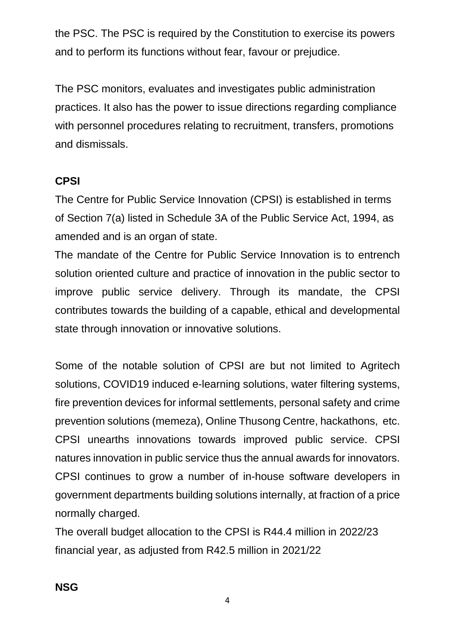the PSC. The PSC is required by the Constitution to exercise its powers and to perform its functions without fear, favour or prejudice.

The PSC monitors, evaluates and investigates public administration practices. It also has the power to issue directions regarding compliance with personnel procedures relating to recruitment, transfers, promotions and dismissals.

## **CPSI**

The Centre for Public Service Innovation (CPSI) is established in terms of Section 7(a) listed in Schedule 3A of the Public Service Act, 1994, as amended and is an organ of state.

The mandate of the Centre for Public Service Innovation is to entrench solution oriented culture and practice of innovation in the public sector to improve public service delivery. Through its mandate, the CPSI contributes towards the building of a capable, ethical and developmental state through innovation or innovative solutions.

Some of the notable solution of CPSI are but not limited to Agritech solutions, COVID19 induced e-learning solutions, water filtering systems, fire prevention devices for informal settlements, personal safety and crime prevention solutions (memeza), Online Thusong Centre, hackathons, etc. CPSI unearths innovations towards improved public service. CPSI natures innovation in public service thus the annual awards for innovators. CPSI continues to grow a number of in-house software developers in government departments building solutions internally, at fraction of a price normally charged.

The overall budget allocation to the CPSI is R44.4 million in 2022/23 financial year, as adjusted from R42.5 million in 2021/22

**NSG**

4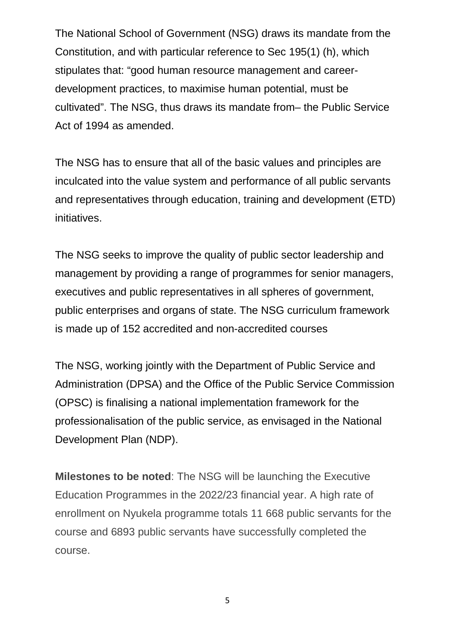The National School of Government (NSG) draws its mandate from the Constitution, and with particular reference to Sec 195(1) (h), which stipulates that: "good human resource management and careerdevelopment practices, to maximise human potential, must be cultivated". The NSG, thus draws its mandate from– the Public Service Act of 1994 as amended.

The NSG has to ensure that all of the basic values and principles are inculcated into the value system and performance of all public servants and representatives through education, training and development (ETD) initiatives.

The NSG seeks to improve the quality of public sector leadership and management by providing a range of programmes for senior managers, executives and public representatives in all spheres of government, public enterprises and organs of state. The NSG curriculum framework is made up of 152 accredited and non-accredited courses

The NSG, working jointly with the Department of Public Service and Administration (DPSA) and the Office of the Public Service Commission (OPSC) is finalising a national implementation framework for the professionalisation of the public service, as envisaged in the National Development Plan (NDP).

**Milestones to be noted**: The NSG will be launching the Executive Education Programmes in the 2022/23 financial year. A high rate of enrollment on Nyukela programme totals 11 668 public servants for the course and 6893 public servants have successfully completed the course.

5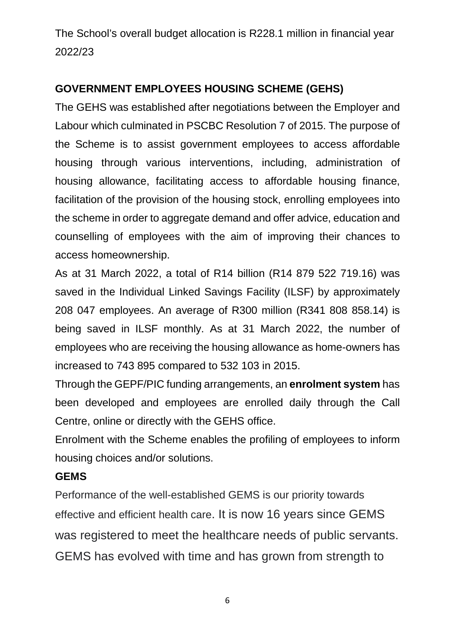The School's overall budget allocation is R228.1 million in financial year 2022/23

## **GOVERNMENT EMPLOYEES HOUSING SCHEME (GEHS)**

The GEHS was established after negotiations between the Employer and Labour which culminated in PSCBC Resolution 7 of 2015. The purpose of the Scheme is to assist government employees to access affordable housing through various interventions, including, administration of housing allowance, facilitating access to affordable housing finance, facilitation of the provision of the housing stock, enrolling employees into the scheme in order to aggregate demand and offer advice, education and counselling of employees with the aim of improving their chances to access homeownership.

As at 31 March 2022, a total of R14 billion (R14 879 522 719.16) was saved in the Individual Linked Savings Facility (ILSF) by approximately 208 047 employees. An average of R300 million (R341 808 858.14) is being saved in ILSF monthly. As at 31 March 2022, the number of employees who are receiving the housing allowance as home-owners has increased to 743 895 compared to 532 103 in 2015.

Through the GEPF/PIC funding arrangements, an **enrolment system** has been developed and employees are enrolled daily through the Call Centre, online or directly with the GEHS office.

Enrolment with the Scheme enables the profiling of employees to inform housing choices and/or solutions.

#### **GEMS**

Performance of the well-established GEMS is our priority towards effective and efficient health care. It is now 16 years since GEMS was registered to meet the healthcare needs of public servants. GEMS has evolved with time and has grown from strength to

6